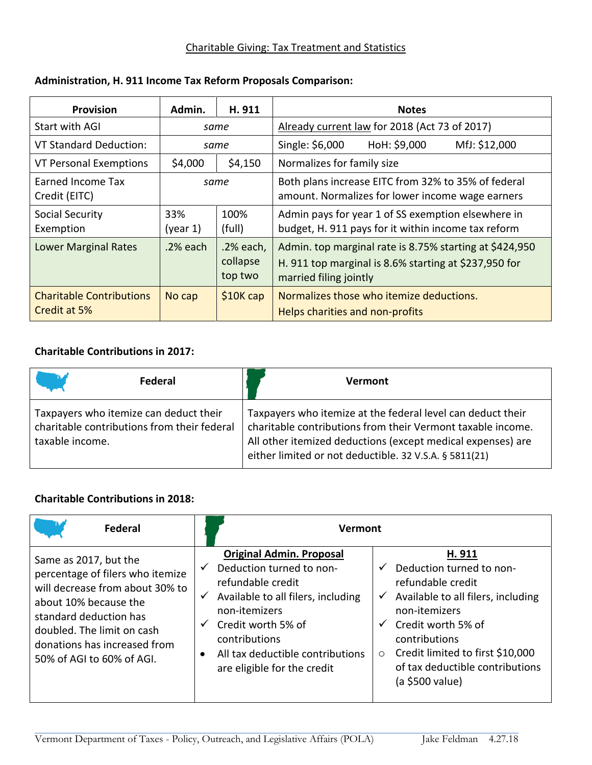## Charitable Giving: Tax Treatment and Statistics

| <b>Provision</b>                                | Admin.          | H. 911                           | <b>Notes</b>                                                                                                                               |  |
|-------------------------------------------------|-----------------|----------------------------------|--------------------------------------------------------------------------------------------------------------------------------------------|--|
| Start with AGI                                  | same            |                                  | Already current law for 2018 (Act 73 of 2017)                                                                                              |  |
| <b>VT Standard Deduction:</b>                   | same            |                                  | HoH: \$9,000<br>MfJ: \$12,000<br>Single: \$6,000                                                                                           |  |
| VT Personal Exemptions                          | \$4,000         | \$4,150                          | Normalizes for family size                                                                                                                 |  |
| Earned Income Tax<br>Credit (EITC)              | same            |                                  | Both plans increase EITC from 32% to 35% of federal<br>amount. Normalizes for lower income wage earners                                    |  |
| Social Security<br>Exemption                    | 33%<br>(year 1) | 100%<br>(full)                   | Admin pays for year 1 of SS exemption elsewhere in<br>budget, H. 911 pays for it within income tax reform                                  |  |
| <b>Lower Marginal Rates</b>                     | .2% each        | .2% each,<br>collapse<br>top two | Admin. top marginal rate is 8.75% starting at \$424,950<br>H. 911 top marginal is 8.6% starting at \$237,950 for<br>married filing jointly |  |
| <b>Charitable Contributions</b><br>Credit at 5% | No cap          | $$10K$ cap                       | Normalizes those who itemize deductions.<br>Helps charities and non-profits                                                                |  |

## **Administration, H. 911 Income Tax Reform Proposals Comparison:**

# **Charitable Contributions in 2017:**

| Federal                                                                                                  | <b>Vermont</b>                                                                                                                                                                                                                                      |
|----------------------------------------------------------------------------------------------------------|-----------------------------------------------------------------------------------------------------------------------------------------------------------------------------------------------------------------------------------------------------|
| Taxpayers who itemize can deduct their<br>charitable contributions from their federal<br>taxable income. | Taxpayers who itemize at the federal level can deduct their<br>charitable contributions from their Vermont taxable income.<br>All other itemized deductions (except medical expenses) are<br>either limited or not deductible. 32 V.S.A. § 5811(21) |

## **Charitable Contributions in 2018:**

| Federal                                                                                                                                                                                                                                    | Vermont                                                                                                                                                                                                                                                                                                |                                                                                                                                                                                                                                                                                                            |  |
|--------------------------------------------------------------------------------------------------------------------------------------------------------------------------------------------------------------------------------------------|--------------------------------------------------------------------------------------------------------------------------------------------------------------------------------------------------------------------------------------------------------------------------------------------------------|------------------------------------------------------------------------------------------------------------------------------------------------------------------------------------------------------------------------------------------------------------------------------------------------------------|--|
| Same as 2017, but the<br>percentage of filers who itemize<br>will decrease from about 30% to<br>about 10% because the<br>standard deduction has<br>doubled. The limit on cash<br>donations has increased from<br>50% of AGI to 60% of AGI. | <b>Original Admin. Proposal</b><br>Deduction turned to non-<br>$\checkmark$<br>refundable credit<br>Available to all filers, including<br>$\checkmark$<br>non-itemizers<br>Credit worth 5% of<br>$\checkmark$<br>contributions<br>All tax deductible contributions<br>٠<br>are eligible for the credit | H. 911<br>Deduction turned to non-<br>$\checkmark$<br>refundable credit<br>Available to all filers, including<br>$\checkmark$<br>non-itemizers<br>Credit worth 5% of<br>$\checkmark$<br>contributions<br>Credit limited to first \$10,000<br>$\circ$<br>of tax deductible contributions<br>(a \$500 value) |  |